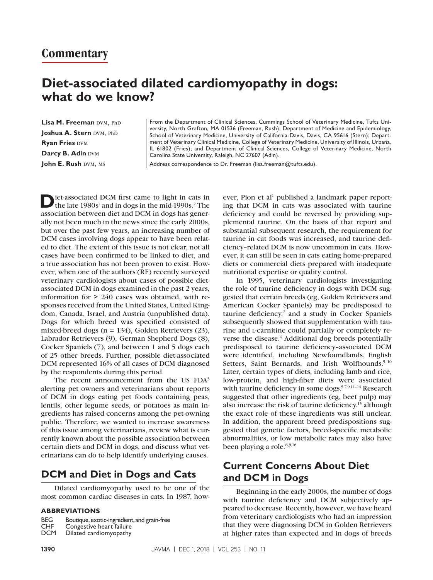## **Commentary**

# **Diet-associated dilated cardiomyopathy in dogs: what do we know?**

**Lisa M. Freeman DVM, PhD** Joshua A. Stern DVM, PhD **Ryan Fries** DVM **Darcy B. Adin** DVM **John E. Rush DVM, MS** 

From the Department of Clinical Sciences, Cummings School of Veterinary Medicine, Tufts University, North Grafton, MA 01536 (Freeman, Rush); Department of Medicine and Epidemiology, School of Veterinary Medicine, University of California-Davis, Davis, CA 95616 (Stern); Department of Veterinary Clinical Medicine, College of Veterinary Medicine, University of Illinois, Urbana, IL 61802 (Fries); and Department of Clinical Sciences, College of Veterinary Medicine, North Carolina State University, Raleigh, NC 27607 (Adin).

Address correspondence to Dr. Freeman (lisa.freeman@tufts.edu).

Diet-associated DCM first came to light in cats in the late 1980s<sup>1</sup> and in dogs in the mid-1990s.<sup>2</sup> The association between diet and DCM in dogs has generally not been much in the news since the early 2000s, but over the past few years, an increasing number of DCM cases involving dogs appear to have been related to diet. The extent of this issue is not clear, not all cases have been confirmed to be linked to diet, and a true association has not been proven to exist. However, when one of the authors (RF) recently surveyed veterinary cardiologists about cases of possible dietassociated DCM in dogs examined in the past 2 years, information for > 240 cases was obtained, with responses received from the United States, United Kingdom, Canada, Israel, and Austria (unpublished data). Dogs for which breed was specified consisted of mixed-breed dogs (n = 134), Golden Retrievers (23), Labrador Retrievers (9), German Shepherd Dogs (8), Cocker Spaniels (7), and between 1 and 5 dogs each of 25 other breeds. Further, possible diet-associated DCM represented 16% of all cases of DCM diagnosed by the respondents during this period.

The recent announcement from the US FDA<sup>3</sup> alerting pet owners and veterinarians about reports of DCM in dogs eating pet foods containing peas, lentils, other legume seeds, or potatoes as main ingredients has raised concerns among the pet-owning public. Therefore, we wanted to increase awareness of this issue among veterinarians, review what is currently known about the possible association between certain diets and DCM in dogs, and discuss what veterinarians can do to help identify underlying causes.

#### **DCM and Diet in Dogs and Cats**

Dilated cardiomyopathy used to be one of the most common cardiac diseases in cats. In 1987, how-

#### **ABBREVIATIONS**

BEG Boutique, exotic-ingredient, and grain-free<br>CHF Congestive heart failure

CHF Congestive heart failure Dilated cardiomyopathy

ever, Pion et al<sup>1</sup> published a landmark paper reporting that DCM in cats was associated with taurine deficiency and could be reversed by providing supplemental taurine. On the basis of that report and substantial subsequent research, the requirement for taurine in cat foods was increased, and taurine deficiency–related DCM is now uncommon in cats. However, it can still be seen in cats eating home-prepared diets or commercial diets prepared with inadequate nutritional expertise or quality control.

In 1995, veterinary cardiologists investigating the role of taurine deficiency in dogs with DCM suggested that certain breeds (eg, Golden Retrievers and American Cocker Spaniels) may be predisposed to taurine deficiency, $2$  and a study in Cocker Spaniels subsequently showed that supplementation with taurine and l-carnitine could partially or completely reverse the disease.<sup>4</sup> Additional dog breeds potentially predisposed to taurine deficiency–associated DCM were identified, including Newfoundlands, English Setters, Saint Bernards, and Irish Wolfhounds.<sup>5-10</sup> Later, certain types of diets, including lamb and rice, low-protein, and high-fiber diets were associated with taurine deficiency in some dogs.5,7,9,11–14 Research suggested that other ingredients (eg, beet pulp) may also increase the risk of taurine deficiency,<sup>15</sup> although the exact role of these ingredients was still unclear. In addition, the apparent breed predispositions suggested that genetic factors, breed-specific metabolic abnormalities, or low metabolic rates may also have been playing a role.8,9,<sup>16</sup>

## **Current Concerns About Diet and DCM in Dogs**

Beginning in the early 2000s, the number of dogs with taurine deficiency and DCM subjectively appeared to decrease. Recently, however, we have heard from veterinary cardiologists who had an impression that they were diagnosing DCM in Golden Retrievers at higher rates than expected and in dogs of breeds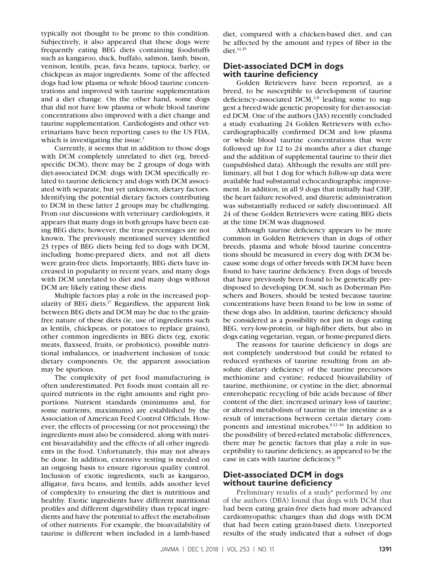typically not thought to be prone to this condition. Subjectively, it also appeared that these dogs were frequently eating BEG diets containing foodstuffs such as kangaroo, duck, buffalo, salmon, lamb, bison, venison, lentils, peas, fava beans, tapioca, barley, or chickpeas as major ingredients. Some of the affected dogs had low plasma or whole blood taurine concentrations and improved with taurine supplementation and a diet change. On the other hand, some dogs that did not have low plasma or whole blood taurine concentrations also improved with a diet change and taurine supplementation. Cardiologists and other veterinarians have been reporting cases to the US FDA, which is investigating the issue.<sup>3</sup>

Currently, it seems that in addition to those dogs with DCM completely unrelated to diet (eg, breedspecific DCM), there may be 2 groups of dogs with diet-associated DCM: dogs with DCM specifically related to taurine deficiency and dogs with DCM associated with separate, but yet unknown, dietary factors. Identifying the potential dietary factors contributing to DCM in these latter 2 groups may be challenging. From our discussions with veterinary cardiologists, it appears that many dogs in both groups have been eating BEG diets; however, the true percentages are not known. The previously mentioned survey identified 23 types of BEG diets being fed to dogs with DCM, including home-prepared diets, and not all diets were grain-free diets. Importantly, BEG diets have increased in popularity in recent years, and many dogs with DCM unrelated to diet and many dogs without DCM are likely eating these diets.

Multiple factors play a role in the increased popularity of BEG diets.17 Regardless, the apparent link between BEG diets and DCM may be due to the grainfree nature of these diets (ie, use of ingredients such as lentils, chickpeas, or potatoes to replace grains), other common ingredients in BEG diets (eg, exotic meats, flaxseed, fruits, or probiotics), possible nutritional imbalances, or inadvertent inclusion of toxic dietary components. Or, the apparent association may be spurious.

The complexity of pet food manufacturing is often underestimated. Pet foods must contain all required nutrients in the right amounts and right proportions. Nutrient standards (minimums and, for some nutrients, maximums) are established by the Association of American Feed Control Officials. However, the effects of processing (or not processing) the ingredients must also be considered, along with nutrient bioavailability and the effects of all other ingredients in the food. Unfortunately, this may not always be done. In addition, extensive testing is needed on an ongoing basis to ensure rigorous quality control. Inclusion of exotic ingredients, such as kangaroo, alligator, fava beans, and lentils, adds another level of complexity to ensuring the diet is nutritious and healthy. Exotic ingredients have different nutritional profiles and different digestibility than typical ingredients and have the potential to affect the metabolism of other nutrients. For example, the bioavailability of taurine is different when included in a lamb-based diet, compared with a chicken-based diet, and can be affected by the amount and types of fiber in the diet. $14,15$ 

#### **Diet-associated DCM in dogs with taurine deficiency**

Golden Retrievers have been reported, as a breed, to be susceptible to development of taurine deficiency-associated DCM,<sup>2,8</sup> leading some to suggest a breed-wide genetic propensity for diet-associated DCM. One of the authors (JAS) recently concluded a study evaluating 24 Golden Retrievers with echocardiographically confirmed DCM and low plasma or whole blood taurine concentrations that were followed up for 12 to 24 months after a diet change and the addition of supplemental taurine to their diet (unpublished data). Although the results are still preliminary, all but 1 dog for which follow-up data were available had substantial echocardiographic improvement. In addition, in all 9 dogs that initially had CHF, the heart failure resolved, and diuretic administration was substantially reduced or safely discontinued. All 24 of these Golden Retrievers were eating BEG diets at the time DCM was diagnosed.

Although taurine deficiency appears to be more common in Golden Retrievers than in dogs of other breeds, plasma and whole blood taurine concentrations should be measured in every dog with DCM because some dogs of other breeds with DCM have been found to have taurine deficiency. Even dogs of breeds that have previously been found to be genetically predisposed to developing DCM, such as Doberman Pinschers and Boxers, should be tested because taurine concentrations have been found to be low in some of these dogs also. In addition, taurine deficiency should be considered as a possibility not just in dogs eating BEG, very-low-protein, or high-fiber diets, but also in dogs eating vegetarian, vegan, or home-prepared diets.

The reasons for taurine deficiency in dogs are not completely understood but could be related to reduced synthesis of taurine resulting from an absolute dietary deficiency of the taurine precursors methionine and cystine; reduced bioavailability of taurine, methionine, or cystine in the diet; abnormal enterohepatic recycling of bile acids because of fiber content of the diet; increased urinary loss of taurine; or altered metabolism of taurine in the intestine as a result of interactions between certain dietary components and intestinal microbes.<sup>9,12-16</sup> In addition to the possibility of breed-related metabolic differences, there may be genetic factors that play a role in susceptibility to taurine deficiency, as appeared to be the case in cats with taurine deficiency.18

#### **Diet-associated DCM in dogs without taurine deficiency**

Preliminary results of a study<sup>a</sup> performed by one of the authors (DBA) found that dogs with DCM that had been eating grain-free diets had more advanced cardiomyopathic changes than did dogs with DCM that had been eating grain-based diets. Unreported results of the study indicated that a subset of dogs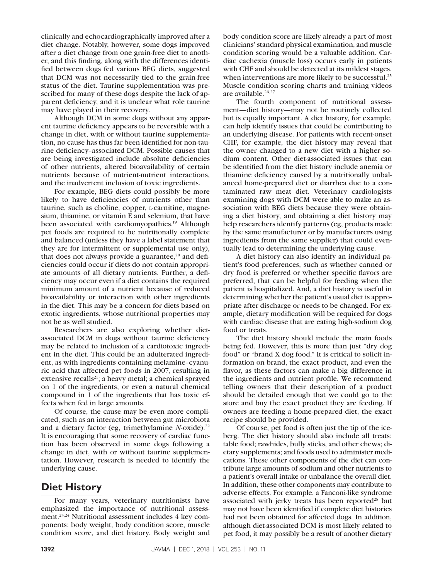clinically and echocardiographically improved after a diet change. Notably, however, some dogs improved after a diet change from one grain-free diet to another, and this finding, along with the differences identified between dogs fed various BEG diets, suggested that DCM was not necessarily tied to the grain-free status of the diet. Taurine supplementation was prescribed for many of these dogs despite the lack of apparent deficiency, and it is unclear what role taurine may have played in their recovery.

Although DCM in some dogs without any apparent taurine deficiency appears to be reversible with a change in diet, with or without taurine supplementation, no cause has thus far been identified for non-taurine deficiency–associated DCM. Possible causes that are being investigated include absolute deficiencies of other nutrients, altered bioavailability of certain nutrients because of nutrient-nutrient interactions, and the inadvertent inclusion of toxic ingredients.

For example, BEG diets could possibly be more likely to have deficiencies of nutrients other than taurine, such as choline, copper, *L*-carnitine, magnesium, thiamine, or vitamin E and selenium, that have been associated with cardiomyopathies.<sup>19</sup> Although pet foods are required to be nutritionally complete and balanced (unless they have a label statement that they are for intermittent or supplemental use only), that does not always provide a guarantee, $20$  and deficiencies could occur if diets do not contain appropriate amounts of all dietary nutrients. Further, a deficiency may occur even if a diet contains the required minimum amount of a nutrient because of reduced bioavailability or interaction with other ingredients in the diet. This may be a concern for diets based on exotic ingredients, whose nutritional properties may not be as well studied.

Researchers are also exploring whether dietassociated DCM in dogs without taurine deficiency may be related to inclusion of a cardiotoxic ingredient in the diet. This could be an adulterated ingredient, as with ingredients containing melamine–cyanuric acid that affected pet foods in 2007, resulting in extensive recalls<sup>21</sup>; a heavy metal; a chemical sprayed on 1 of the ingredients; or even a natural chemical compound in 1 of the ingredients that has toxic effects when fed in large amounts.

Of course, the cause may be even more complicated, such as an interaction between gut microbiota and a dietary factor (eg, trimethylamine *N*-oxide).<sup>22</sup> It is encouraging that some recovery of cardiac function has been observed in some dogs following a change in diet, with or without taurine supplementation. However, research is needed to identify the underlying cause.

#### **Diet History**

For many years, veterinary nutritionists have emphasized the importance of nutritional assessment.23,24 Nutritional assessment includes 4 key components: body weight, body condition score, muscle condition score, and diet history. Body weight and

body condition score are likely already a part of most clinicians' standard physical examination, and muscle condition scoring would be a valuable addition. Cardiac cachexia (muscle loss) occurs early in patients with CHF and should be detected at its mildest stages, when interventions are more likely to be successful.<sup>25</sup> Muscle condition scoring charts and training videos are available.<sup>26,27</sup>

The fourth component of nutritional assessment—diet history—may not be routinely collected but is equally important. A diet history, for example, can help identify issues that could be contributing to an underlying disease. For patients with recent-onset CHF, for example, the diet history may reveal that the owner changed to a new diet with a higher sodium content. Other diet-associated issues that can be identified from the diet history include anemia or thiamine deficiency caused by a nutritionally unbalanced home-prepared diet or diarrhea due to a contaminated raw meat diet. Veterinary cardiologists examining dogs with DCM were able to make an association with BEG diets because they were obtaining a diet history, and obtaining a diet history may help researchers identify patterns (eg, products made by the same manufacturer or by manufacturers using ingredients from the same supplier) that could eventually lead to determining the underlying cause.

A diet history can also identify an individual patient's food preferences, such as whether canned or dry food is preferred or whether specific flavors are preferred, that can be helpful for feeding when the patient is hospitalized. And, a diet history is useful in determining whether the patient's usual diet is appropriate after discharge or needs to be changed. For example, dietary modification will be required for dogs with cardiac disease that are eating high-sodium dog food or treats.

The diet history should include the main foods being fed. However, this is more than just "dry dog food" or "brand X dog food." It is critical to solicit information on brand, the exact product, and even the flavor, as these factors can make a big difference in the ingredients and nutrient profile. We recommend telling owners that their description of a product should be detailed enough that we could go to the store and buy the exact product they are feeding. If owners are feeding a home-prepared diet, the exact recipe should be provided.

Of course, pet food is often just the tip of the iceberg. The diet history should also include all treats; table food; rawhides, bully sticks, and other chews; dietary supplements; and foods used to administer medications. These other components of the diet can contribute large amounts of sodium and other nutrients to a patient's overall intake or unbalance the overall diet. In addition, these other components may contribute to adverse effects. For example, a Fanconi-like syndrome associated with jerky treats has been reported<sup>28</sup> but may not have been identified if complete diet histories had not been obtained for affected dogs. In addition, although diet-associated DCM is most likely related to pet food, it may possibly be a result of another dietary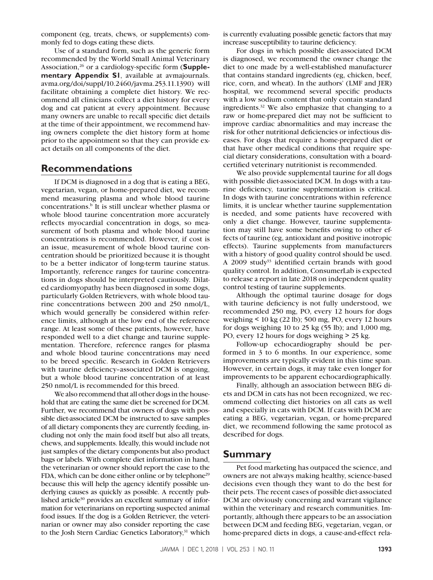component (eg, treats, chews, or supplements) commonly fed to dogs eating these diets.

Use of a standard form, such as the generic form recommended by the World Small Animal Veterinary Association,26 or a cardiology-specific form (**Supplementary Appendix S1**, available at avmajournals. avma.org/doi/suppl/10.2460/javma.253.11.1390) will facilitate obtaining a complete diet history. We recommend all clinicians collect a diet history for every dog and cat patient at every appointment. Because many owners are unable to recall specific diet details at the time of their appointment, we recommend having owners complete the diet history form at home prior to the appointment so that they can provide exact details on all components of the diet.

#### **Recommendations**

If DCM is diagnosed in a dog that is eating a BEG, vegetarian, vegan, or home-prepared diet, we recommend measuring plasma and whole blood taurine concentrations.<sup>b</sup> It is still unclear whether plasma or whole blood taurine concentration more accurately reflects myocardial concentration in dogs, so measurement of both plasma and whole blood taurine concentrations is recommended. However, if cost is an issue, measurement of whole blood taurine concentration should be prioritized because it is thought to be a better indicator of long-term taurine status. Importantly, reference ranges for taurine concentrations in dogs should be interpreted cautiously. Dilated cardiomyopathy has been diagnosed in some dogs, particularly Golden Retrievers, with whole blood taurine concentrations between 200 and 250 nmol/L, which would generally be considered within reference limits, although at the low end of the reference range. At least some of these patients, however, have responded well to a diet change and taurine supplementation. Therefore, reference ranges for plasma and whole blood taurine concentrations may need to be breed specific. Research in Golden Retrievers with taurine deficiency–associated DCM is ongoing, but a whole blood taurine concentration of at least 250 nmol/L is recommended for this breed.

We also recommend that all other dogs in the household that are eating the same diet be screened for DCM. Further, we recommend that owners of dogs with possible diet-associated DCM be instructed to save samples of all dietary components they are currently feeding, including not only the main food itself but also all treats, chews, and supplements. Ideally, this would include not just samples of the dietary components but also product bags or labels. With complete diet information in hand, the veterinarian or owner should report the case to the FDA, which can be done either online or by telephone<sup>29</sup> because this will help the agency identify possible underlying causes as quickly as possible. A recently published article $30$  provides an excellent summary of information for veterinarians on reporting suspected animal food issues. If the dog is a Golden Retriever, the veterinarian or owner may also consider reporting the case to the Josh Stern Cardiac Genetics Laboratory,<sup>31</sup> which is currently evaluating possible genetic factors that may increase susceptibility to taurine deficiency.

For dogs in which possible diet-associated DCM is diagnosed, we recommend the owner change the diet to one made by a well-established manufacturer that contains standard ingredients (eg, chicken, beef, rice, corn, and wheat). In the authors' (LMF and JER) hospital, we recommend several specific products with a low sodium content that only contain standard ingredients.32 We also emphasize that changing to a raw or home-prepared diet may not be sufficient to improve cardiac abnormalities and may increase the risk for other nutritional deficiencies or infectious diseases. For dogs that require a home-prepared diet or that have other medical conditions that require special dietary considerations, consultation with a boardcertified veterinary nutritionist is recommended.

We also provide supplemental taurine for all dogs with possible diet-associated DCM. In dogs with a taurine deficiency, taurine supplementation is critical. In dogs with taurine concentrations within reference limits, it is unclear whether taurine supplementation is needed, and some patients have recovered with only a diet change. However, taurine supplementation may still have some benefits owing to other effects of taurine (eg, antioxidant and positive inotropic effects). Taurine supplements from manufacturers with a history of good quality control should be used. A 2009 study<sup>33</sup> identified certain brands with good quality control. In addition, ConsumerLab is expected to release a report in late 2018 on independent quality control testing of taurine supplements.

Although the optimal taurine dosage for dogs with taurine deficiency is not fully understood, we recommended 250 mg, PO, every 12 hours for dogs weighing < 10 kg (22 lb); 500 mg, PO, every 12 hours for dogs weighing 10 to 25 kg (55 lb); and 1,000 mg, PO, every 12 hours for dogs weighing > 25 kg.

Follow-up echocardiography should be performed in 3 to 6 months. In our experience, some improvements are typically evident in this time span. However, in certain dogs, it may take even longer for improvements to be apparent echocardiographically.

Finally, although an association between BEG diets and DCM in cats has not been recognized, we recommend collecting diet histories on all cats as well and especially in cats with DCM. If cats with DCM are eating a BEG, vegetarian, vegan, or home-prepared diet, we recommend following the same protocol as described for dogs.

#### **Summary**

Pet food marketing has outpaced the science, and owners are not always making healthy, science-based decisions even though they want to do the best for their pets. The recent cases of possible diet-associated DCM are obviously concerning and warrant vigilance within the veterinary and research communities. Importantly, although there appears to be an association between DCM and feeding BEG, vegetarian, vegan, or home-prepared diets in dogs, a cause-and-effect rela